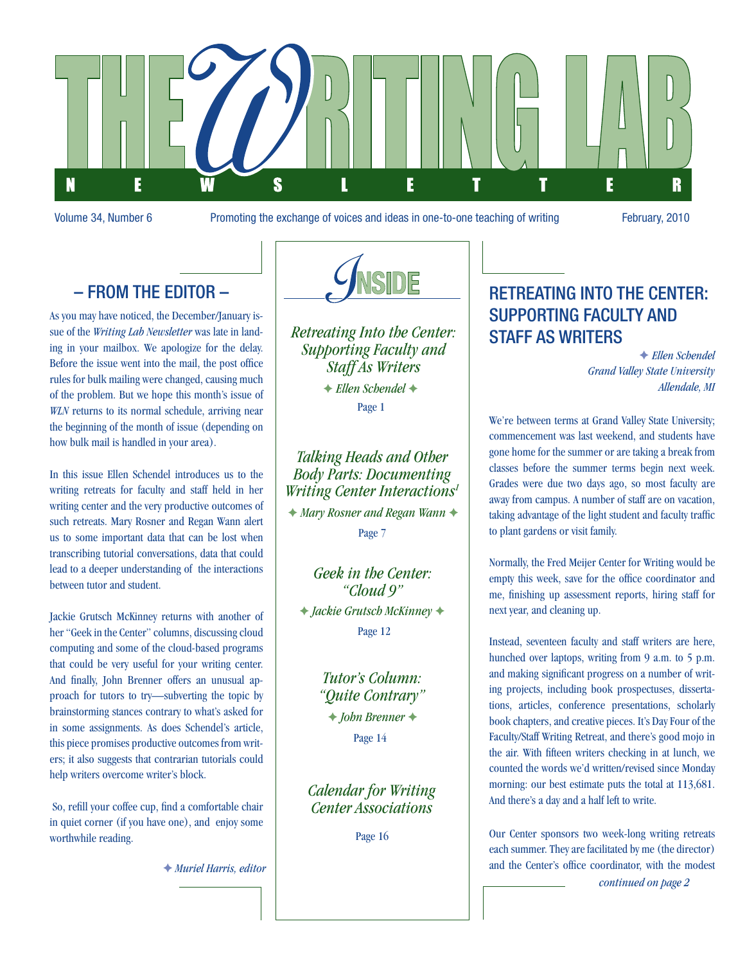

Volume 34, Number 6 Promoting the exchange of voices and ideas in one-to-one teaching of writing February, 2010

### – From the Editor –

As you may have noticed, the December/January issue of the *Writing Lab Newsletter* was late in landing in your mailbox. We apologize for the delay. Before the issue went into the mail, the post office rules for bulk mailing were changed, causing much of the problem. But we hope this month's issue of *WLN* returns to its normal schedule, arriving near the beginning of the month of issue (depending on how bulk mail is handled in your area).

In this issue Ellen Schendel introduces us to the writing retreats for faculty and staff held in her writing center and the very productive outcomes of such retreats. Mary Rosner and Regan Wann alert us to some important data that can be lost when transcribing tutorial conversations, data that could lead to a deeper understanding of the interactions between tutor and student.

Jackie Grutsch McKinney returns with another of her "Geek in the Center" columns, discussing cloud computing and some of the cloud-based programs that could be very useful for your writing center. And finally, John Brenner offers an unusual approach for tutors to try—subverting the topic by brainstorming stances contrary to what's asked for in some assignments. As does Schendel's article, this piece promises productive outcomes from writers; it also suggests that contrarian tutorials could help writers overcome writer's block.

 So, refill your coffee cup, find a comfortable chair in quiet corner (if you have one), and enjoy some worthwhile reading.

F *Muriel Harris, editor*



*Retreating Into the Center: Supporting Faculty and Staff As Writers*

 $+$  **Ellen Schendel**  $+$ Page 1

### *Talking Heads and Other Body Parts: Documenting Writing Center Interactions1*

**★ Mary Rosner and Regan Wann ★** Page 7

*Geek in the Center: "Cloud 9"* F *Jackie Grutsch McKinney* F Page 12

> *Tutor's Column: "Quite Contrary"* Page 14  $\dashright$ *F John Brenner* →

*Calendar for Writing Center Associations*

Page 16

### Retreating Into the Center: Supporting Faculty and Staff As Writers

F *Ellen Schendel Grand Valley State University Allendale, MI*

We're between terms at Grand Valley State University; commencement was last weekend, and students have gone home for the summer or are taking a break from classes before the summer terms begin next week. Grades were due two days ago, so most faculty are away from campus. A number of staff are on vacation, taking advantage of the light student and faculty traffic to plant gardens or visit family.

Normally, the Fred Meijer Center for Writing would be empty this week, save for the office coordinator and me, finishing up assessment reports, hiring staff for next year, and cleaning up.

Instead, seventeen faculty and staff writers are here, hunched over laptops, writing from 9 a.m. to 5 p.m. and making significant progress on a number of writing projects, including book prospectuses, dissertations, articles, conference presentations, scholarly book chapters, and creative pieces. It's Day Four of the Faculty/Staff Writing Retreat, and there's good mojo in the air. With fifteen writers checking in at lunch, we counted the words we'd written/revised since Monday morning: our best estimate puts the total at 113,681. And there's a day and a half left to write.

Our Center sponsors two week-long writing retreats each summer. They are facilitated by me (the director) and the Center's office coordinator, with the modest

*continued on page 2*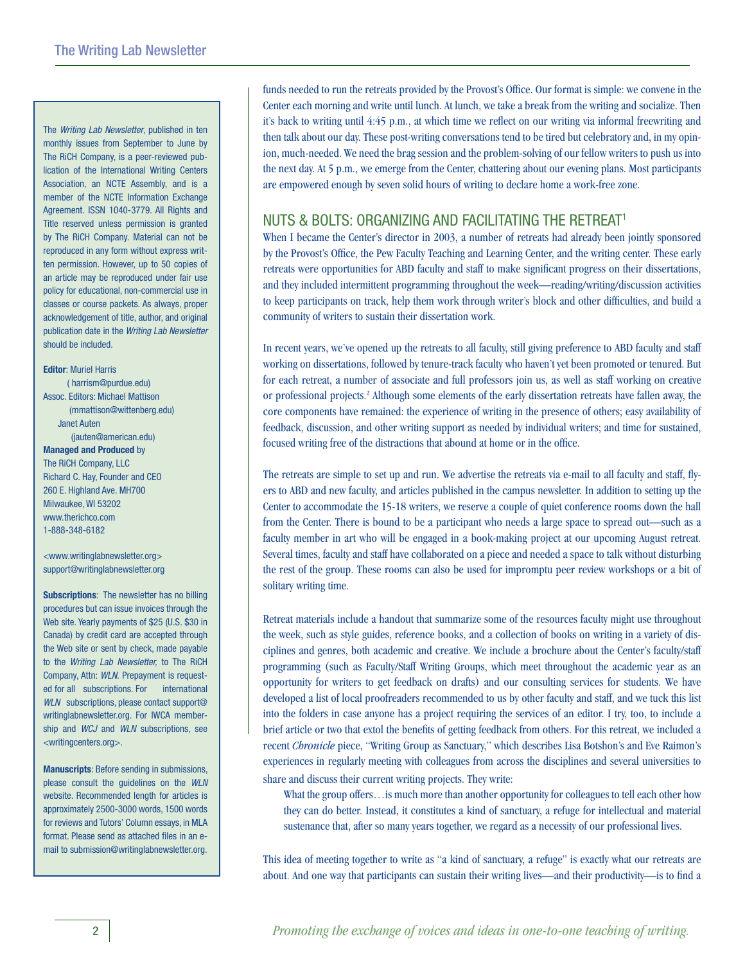The *Writing Lab Newsletter*, published in ten monthly issues from September to June by The RiCH Company, is a peer-reviewed publication of the International Writing Centers Association, an NCTE Assembly, and is a member of the NCTE Information Exchange Agreement. ISSN 1040-3779. All Rights and Title reserved unless permission is granted by The RiCH Company. Material can not be reproduced in any form without express written permission. However, up to 50 copies of an article may be reproduced under fair use policy for educational, non-commercial use in classes or course packets. As always, proper acknowledgement of title, author, and original publication date in the *Writing Lab Newsletter* should be included.

### **Editor**: Muriel Harris ( harrism@purdue.edu) Assoc. Editors: Michael Mattison (mmattison@wittenberg.edu)

Janet Auten

#### (jauten@american.edu) **Managed and Produced** by

The RiCH Company, LLC Richard C. Hay, Founder and CEO 260 E. Highland Ave. MH700 Milwaukee, WI 53202 www.therichco.com 1-888-348-6182

<www.writinglabnewsletter.org> support@writinglabnewsletter.org

**Subscriptions**: The newsletter has no billing procedures but can issue invoices through the Web site. Yearly payments of \$25 (U.S. \$30 in Canada) by credit card are accepted through the Web site or sent by check, made payable to the *Writing Lab Newsletter,* to The RiCH Company, Attn: *WLN.* Prepayment is requested for all subscriptions. For international *WLN* subscriptions, please contact support@ writinglabnewsletter.org. For IWCA membership and *WCJ* and *WLN* subscriptions, see <writingcenters.org>.

**Manuscripts**: Before sending in submissions, please consult the guidelines on the *WLN* website. Recommended length for articles is approximately 2500-3000 words, 1500 words for reviews and Tutors' Column essays, in MLA format. Please send as attached files in an email to submission@writinglabnewsletter.org.

funds needed to run the retreats provided by the Provost's Office. Our format is simple: we convene in the Center each morning and write until lunch. At lunch, we take a break from the writing and socialize. Then it's back to writing until 4:45 p.m., at which time we reflect on our writing via informal freewriting and then talk about our day. These post-writing conversations tend to be tired but celebratory and, in my opinion, much-needed. We need the brag session and the problem-solving of our fellow writers to push us into the next day. At 5 p.m., we emerge from the Center, chattering about our evening plans. Most participants are empowered enough by seven solid hours of writing to declare home a work-free zone.

### NUTS & BOLTS: ORGANIZING AND FACILITATING THE RETREAT<sup>1</sup>

When I became the Center's director in 2003, a number of retreats had already been jointly sponsored by the Provost's Office, the Pew Faculty Teaching and Learning Center, and the writing center. These early retreats were opportunities for ABD faculty and staff to make significant progress on their dissertations, and they included intermittent programming throughout the week—reading/writing/discussion activities to keep participants on track, help them work through writer's block and other difficulties, and build a community of writers to sustain their dissertation work.

In recent years, we've opened up the retreats to all faculty, still giving preference to ABD faculty and staff working on dissertations, followed by tenure-track faculty who haven't yet been promoted or tenured. But for each retreat, a number of associate and full professors join us, as well as staff working on creative or professional projects.<sup>2</sup> Although some elements of the early dissertation retreats have fallen away, the core components have remained: the experience of writing in the presence of others; easy availability of feedback, discussion, and other writing support as needed by individual writers; and time for sustained, focused writing free of the distractions that abound at home or in the office.

The retreats are simple to set up and run. We advertise the retreats via e-mail to all faculty and staff, flyers to ABD and new faculty, and articles published in the campus newsletter. In addition to setting up the Center to accommodate the 15-18 writers, we reserve a couple of quiet conference rooms down the hall from the Center. There is bound to be a participant who needs a large space to spread out—such as a faculty member in art who will be engaged in a book-making project at our upcoming August retreat. Several times, faculty and staff have collaborated on a piece and needed a space to talk without disturbing the rest of the group. These rooms can also be used for impromptu peer review workshops or a bit of solitary writing time.

Retreat materials include a handout that summarize some of the resources faculty might use throughout the week, such as style guides, reference books, and a collection of books on writing in a variety of disciplines and genres, both academic and creative. We include a brochure about the Center's faculty/staff programming (such as Faculty/Staff Writing Groups, which meet throughout the academic year as an opportunity for writers to get feedback on drafts) and our consulting services for students. We have developed a list of local proofreaders recommended to us by other faculty and staff, and we tuck this list into the folders in case anyone has a project requiring the services of an editor. I try, too, to include a brief article or two that extol the benefits of getting feedback from others. For this retreat, we included a recent *Chronicle* piece, "Writing Group as Sanctuary," which describes Lisa Botshon's and Eve Raimon's experiences in regularly meeting with colleagues from across the disciplines and several universities to share and discuss their current writing projects. They write:

What the group offers…is much more than another opportunity for colleagues to tell each other how they can do better. Instead, it constitutes a kind of sanctuary, a refuge for intellectual and material sustenance that, after so many years together, we regard as a necessity of our professional lives.

This idea of meeting together to write as "a kind of sanctuary, a refuge" is exactly what our retreats are about. And one way that participants can sustain their writing lives—and their productivity—is to find a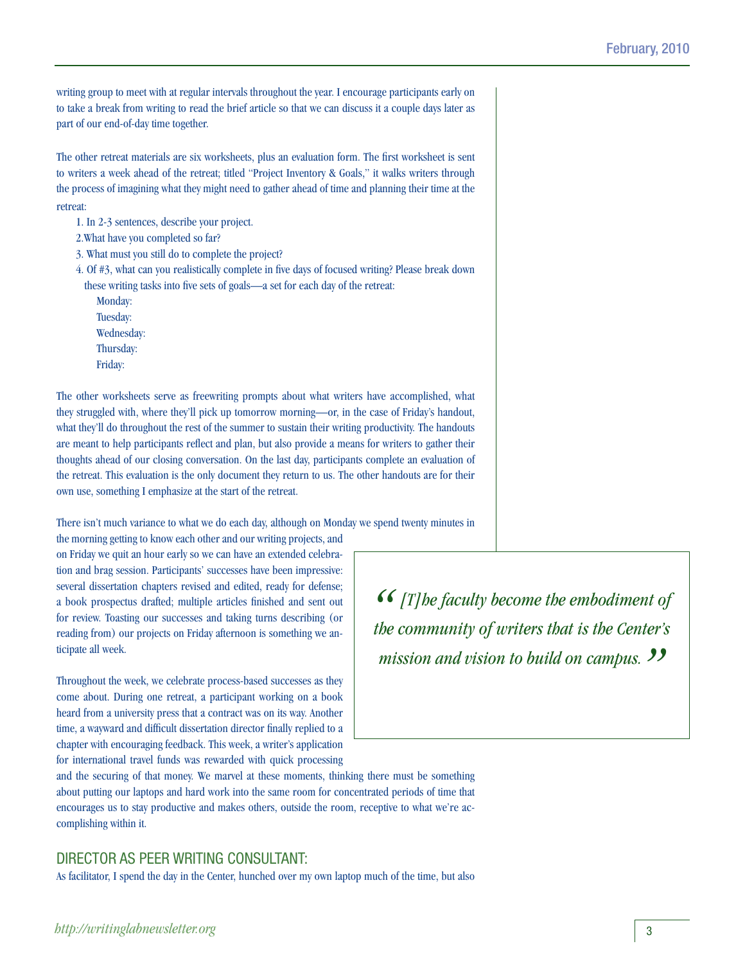writing group to meet with at regular intervals throughout the year. I encourage participants early on to take a break from writing to read the brief article so that we can discuss it a couple days later as part of our end-of-day time together.

The other retreat materials are six worksheets, plus an evaluation form. The first worksheet is sent to writers a week ahead of the retreat; titled "Project Inventory & Goals," it walks writers through the process of imagining what they might need to gather ahead of time and planning their time at the retreat:

1. In 2-3 sentences, describe your project.

- 2.What have you completed so far?
- 3. What must you still do to complete the project?
- 4. Of #3, what can you realistically complete in five days of focused writing? Please break down these writing tasks into five sets of goals—a set for each day of the retreat:
	- Monday: Tuesday: Wednesday: Thursday: Friday:

The other worksheets serve as freewriting prompts about what writers have accomplished, what they struggled with, where they'll pick up tomorrow morning—or, in the case of Friday's handout, what they'll do throughout the rest of the summer to sustain their writing productivity. The handouts are meant to help participants reflect and plan, but also provide a means for writers to gather their thoughts ahead of our closing conversation. On the last day, participants complete an evaluation of the retreat. This evaluation is the only document they return to us. The other handouts are for their own use, something I emphasize at the start of the retreat.

There isn't much variance to what we do each day, although on Monday we spend twenty minutes in the morning getting to know each other and our writing projects, and

on Friday we quit an hour early so we can have an extended celebration and brag session. Participants' successes have been impressive: several dissertation chapters revised and edited, ready for defense; a book prospectus drafted; multiple articles finished and sent out for review. Toasting our successes and taking turns describing (or reading from) our projects on Friday afternoon is something we anticipate all week.

Throughout the week, we celebrate process-based successes as they come about. During one retreat, a participant working on a book heard from a university press that a contract was on its way. Another time, a wayward and difficult dissertation director finally replied to a chapter with encouraging feedback. This week, a writer's application for international travel funds was rewarded with quick processing

*"[T]he faculty become the embodiment of the community of writers that is the Center's*  mission and vision to build on campus. 99

and the securing of that money. We marvel at these moments, thinking there must be something about putting our laptops and hard work into the same room for concentrated periods of time that encourages us to stay productive and makes others, outside the room, receptive to what we're accomplishing within it.

### Director As Peer Writing Consultant:

As facilitator, I spend the day in the Center, hunched over my own laptop much of the time, but also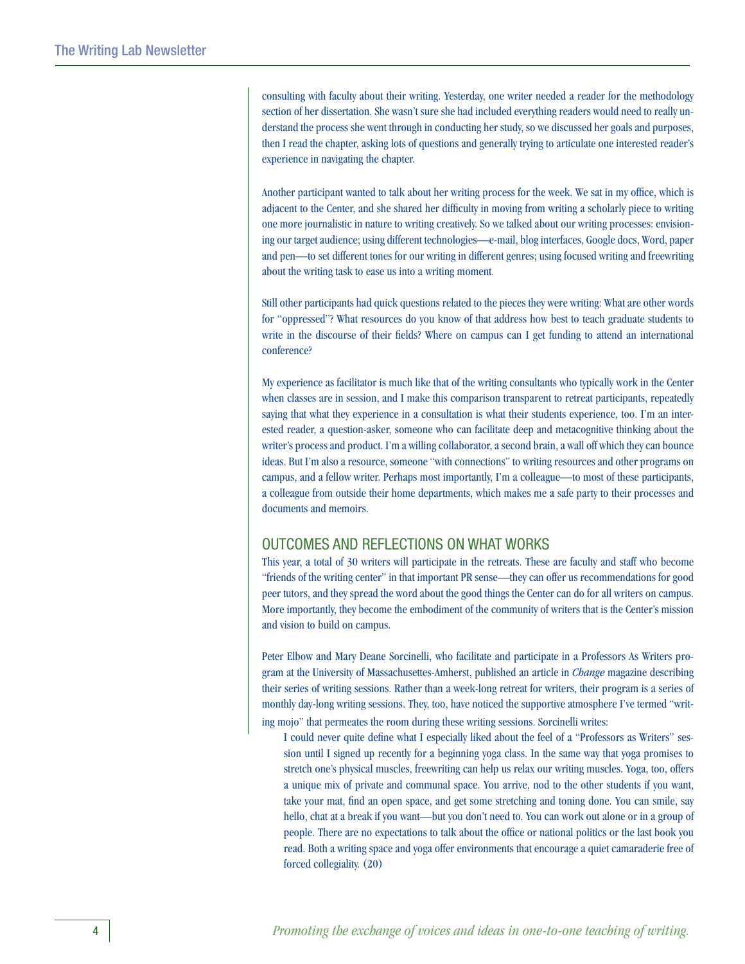consulting with faculty about their writing. Yesterday, one writer needed a reader for the methodology section of her dissertation. She wasn't sure she had included everything readers would need to really understand the process she went through in conducting her study, so we discussed her goals and purposes, then I read the chapter, asking lots of questions and generally trying to articulate one interested reader's experience in navigating the chapter.

Another participant wanted to talk about her writing process for the week. We sat in my office, which is adjacent to the Center, and she shared her difficulty in moving from writing a scholarly piece to writing one more journalistic in nature to writing creatively. So we talked about our writing processes: envisioning our target audience; using different technologies—e-mail, blog interfaces, Google docs, Word, paper and pen—to set different tones for our writing in different genres; using focused writing and freewriting about the writing task to ease us into a writing moment.

Still other participants had quick questions related to the pieces they were writing: What are other words for "oppressed"? What resources do you know of that address how best to teach graduate students to write in the discourse of their fields? Where on campus can I get funding to attend an international conference?

My experience as facilitator is much like that of the writing consultants who typically work in the Center when classes are in session, and I make this comparison transparent to retreat participants, repeatedly saying that what they experience in a consultation is what their students experience, too. I'm an interested reader, a question-asker, someone who can facilitate deep and metacognitive thinking about the writer's process and product. I'm a willing collaborator, a second brain, a wall off which they can bounce ideas. But I'm also a resource, someone "with connections" to writing resources and other programs on campus, and a fellow writer. Perhaps most importantly, I'm a colleague—to most of these participants, a colleague from outside their home departments, which makes me a safe party to their processes and documents and memoirs.

### Outcomes and Reflections on What Works

This year, a total of 30 writers will participate in the retreats. These are faculty and staff who become "friends of the writing center" in that important PR sense—they can offer us recommendations for good peer tutors, and they spread the word about the good things the Center can do for all writers on campus. More importantly, they become the embodiment of the community of writers that is the Center's mission and vision to build on campus.

Peter Elbow and Mary Deane Sorcinelli, who facilitate and participate in a Professors As Writers program at the University of Massachusettes-Amherst, published an article in *Change* magazine describing their series of writing sessions. Rather than a week-long retreat for writers, their program is a series of monthly day-long writing sessions. They, too, have noticed the supportive atmosphere I've termed "writing mojo" that permeates the room during these writing sessions. Sorcinelli writes:

I could never quite define what I especially liked about the feel of a "Professors as Writers" session until I signed up recently for a beginning yoga class. In the same way that yoga promises to stretch one's physical muscles, freewriting can help us relax our writing muscles. Yoga, too, offers a unique mix of private and communal space. You arrive, nod to the other students if you want, take your mat, find an open space, and get some stretching and toning done. You can smile, say hello, chat at a break if you want—but you don't need to. You can work out alone or in a group of people. There are no expectations to talk about the office or national politics or the last book you read. Both a writing space and yoga offer environments that encourage a quiet camaraderie free of forced collegiality. (20)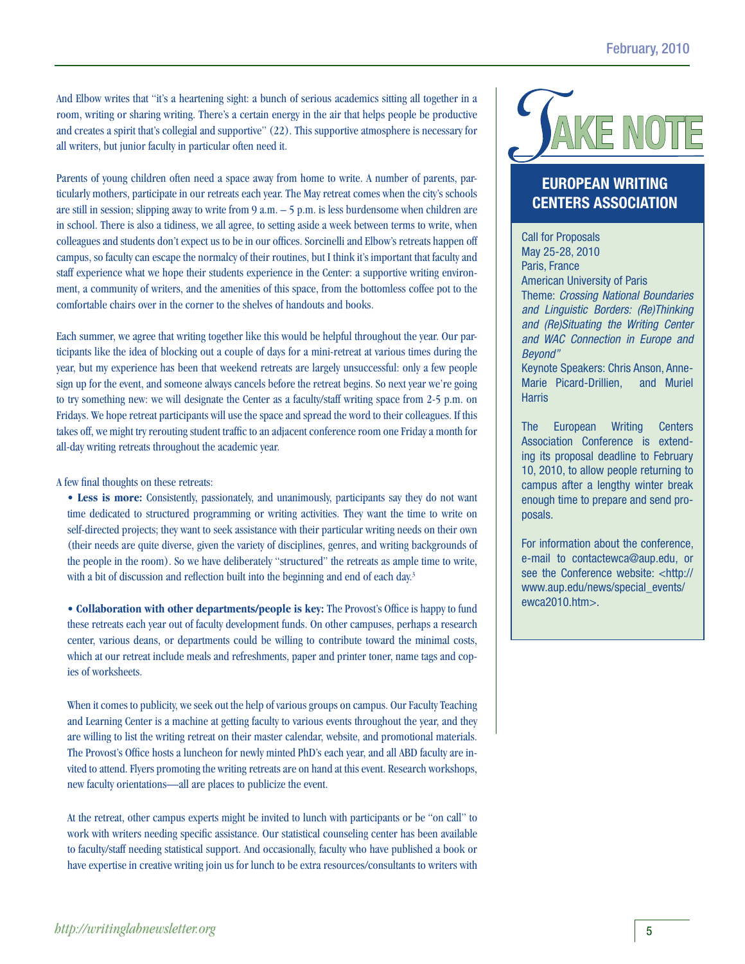And Elbow writes that "it's a heartening sight: a bunch of serious academics sitting all together in a room, writing or sharing writing. There's a certain energy in the air that helps people be productive and creates a spirit that's collegial and supportive" (22). This supportive atmosphere is necessary for all writers, but junior faculty in particular often need it.

Parents of young children often need a space away from home to write. A number of parents, particularly mothers, participate in our retreats each year. The May retreat comes when the city's schools are still in session; slipping away to write from 9 a.m. – 5 p.m. is less burdensome when children are in school. There is also a tidiness, we all agree, to setting aside a week between terms to write, when colleagues and students don't expect us to be in our offices. Sorcinelli and Elbow's retreats happen off campus, so faculty can escape the normalcy of their routines, but I think it's important that faculty and staff experience what we hope their students experience in the Center: a supportive writing environment, a community of writers, and the amenities of this space, from the bottomless coffee pot to the comfortable chairs over in the corner to the shelves of handouts and books.

Each summer, we agree that writing together like this would be helpful throughout the year. Our participants like the idea of blocking out a couple of days for a mini-retreat at various times during the year, but my experience has been that weekend retreats are largely unsuccessful: only a few people sign up for the event, and someone always cancels before the retreat begins. So next year we're going to try something new: we will designate the Center as a faculty/staff writing space from 2-5 p.m. on Fridays. We hope retreat participants will use the space and spread the word to their colleagues. If this takes off, we might try rerouting student traffic to an adjacent conference room one Friday a month for all-day writing retreats throughout the academic year.

A few final thoughts on these retreats:

• Less is more: Consistently, passionately, and unanimously, participants say they do not want time dedicated to structured programming or writing activities. They want the time to write on self-directed projects; they want to seek assistance with their particular writing needs on their own (their needs are quite diverse, given the variety of disciplines, genres, and writing backgrounds of the people in the room). So we have deliberately "structured" the retreats as ample time to write, with a bit of discussion and reflection built into the beginning and end of each day.<sup>3</sup>

**• Collaboration with other departments/people is key:** The Provost's Office is happy to fund these retreats each year out of faculty development funds. On other campuses, perhaps a research center, various deans, or departments could be willing to contribute toward the minimal costs, which at our retreat include meals and refreshments, paper and printer toner, name tags and copies of worksheets.

When it comes to publicity, we seek out the help of various groups on campus. Our Faculty Teaching and Learning Center is a machine at getting faculty to various events throughout the year, and they are willing to list the writing retreat on their master calendar, website, and promotional materials. The Provost's Office hosts a luncheon for newly minted PhD's each year, and all ABD faculty are invited to attend. Flyers promoting the writing retreats are on hand at this event. Research workshops, new faculty orientations—all are places to publicize the event.

At the retreat, other campus experts might be invited to lunch with participants or be "on call" to work with writers needing specific assistance. Our statistical counseling center has been available to faculty/staff needing statistical support. And occasionally, faculty who have published a book or have expertise in creative writing join us for lunch to be extra resources/consultants to writers with

# $\overline{\mathsf{P}}$

### **European Writing Centers association**

Call for Proposals May 25-28, 2010 Paris, France American University of Paris Theme: *Crossing National Boundaries and Linguistic Borders: (Re)Thinking and (Re)Situating the Writing Center and WAC Connection in Europe and Beyond"*

Keynote Speakers: Chris Anson, Anne-Marie Picard-Drillien, and Muriel **Harris** 

The European Writing Centers Association Conference is extending its proposal deadline to February 10, 2010, to allow people returning to campus after a lengthy winter break enough time to prepare and send proposals.

For information about the conference, e-mail to contactewca@aup.edu, or see the Conference website: <http:// www.aup.edu/news/special\_events/ ewca2010.htm>.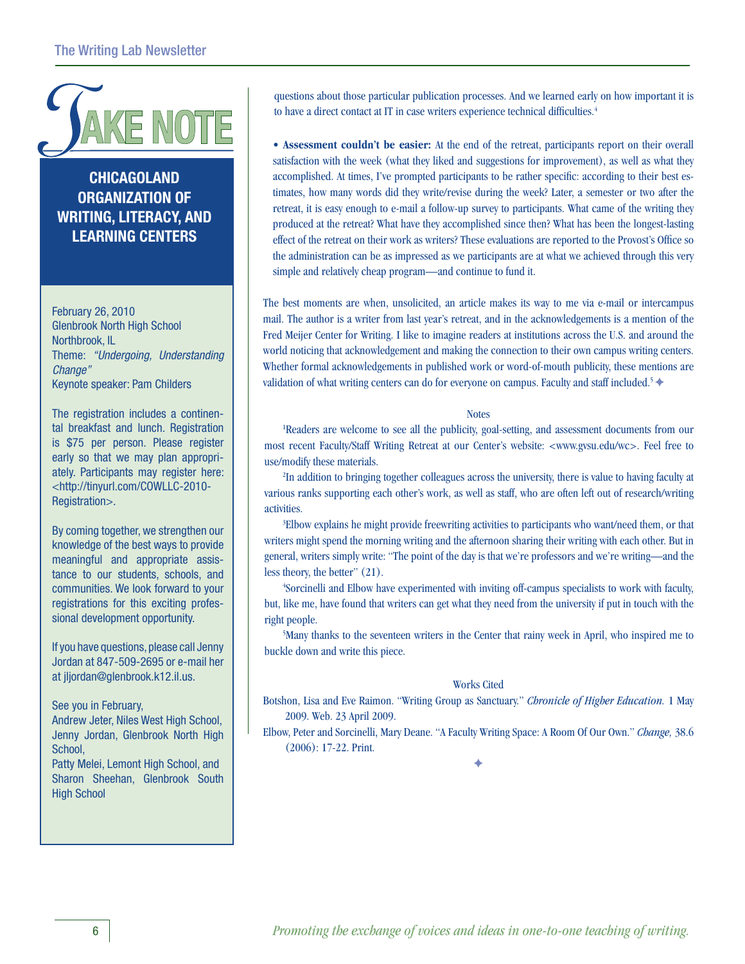

**Chicagoland Organization of Writing, literacy, and learning Centers**

February 26, 2010 Glenbrook North High School Northbrook, IL Theme: *"Undergoing, Understanding Change"* Keynote speaker: Pam Childers

The registration includes a continental breakfast and lunch. Registration is \$75 per person. Please register early so that we may plan appropriately. Participants may register here: <http://tinyurl.com/COWLLC-2010- Registration>.

By coming together, we strengthen our knowledge of the best ways to provide meaningful and appropriate assistance to our students, schools, and communities. We look forward to your registrations for this exciting professional development opportunity.

If you have questions, please call Jenny Jordan at 847-509-2695 or e-mail her at jljordan@glenbrook.k12.il.us.

See you in February,

Andrew Jeter, Niles West High School, Jenny Jordan, Glenbrook North High School,

Patty Melei, Lemont High School, and Sharon Sheehan, Glenbrook South High School

questions about those particular publication processes. And we learned early on how important it is to have a direct contact at IT in case writers experience technical difficulties.<sup>4</sup>

**• Assessment couldn't be easier:** At the end of the retreat, participants report on their overall satisfaction with the week (what they liked and suggestions for improvement), as well as what they accomplished. At times, I've prompted participants to be rather specific: according to their best estimates, how many words did they write/revise during the week? Later, a semester or two after the retreat, it is easy enough to e-mail a follow-up survey to participants. What came of the writing they produced at the retreat? What have they accomplished since then? What has been the longest-lasting effect of the retreat on their work as writers? These evaluations are reported to the Provost's Office so the administration can be as impressed as we participants are at what we achieved through this very simple and relatively cheap program—and continue to fund it.

The best moments are when, unsolicited, an article makes its way to me via e-mail or intercampus mail. The author is a writer from last year's retreat, and in the acknowledgements is a mention of the Fred Meijer Center for Writing. I like to imagine readers at institutions across the U.S. and around the world noticing that acknowledgement and making the connection to their own campus writing centers. Whether formal acknowledgements in published work or word-of-mouth publicity, these mentions are validation of what writing centers can do for everyone on campus. Faculty and staff included.<sup>5</sup>  $\blacklozenge$ 

### **Notes**

<sup>1</sup>Readers are welcome to see all the publicity, goal-setting, and assessment documents from our most recent Faculty/Staff Writing Retreat at our Center's website: <www.gvsu.edu/wc>. Feel free to use/modify these materials.

<sup>2</sup>In addition to bringing together colleagues across the university, there is value to having faculty at various ranks supporting each other's work, as well as staff, who are often left out of research/writing activities.

<sup>3</sup>Elbow explains he might provide freewriting activities to participants who want/need them, or that writers might spend the morning writing and the afternoon sharing their writing with each other. But in general, writers simply write: "The point of the day is that we're professors and we're writing—and the less theory, the better" (21).

4 Sorcinelli and Elbow have experimented with inviting off-campus specialists to work with faculty, but, like me, have found that writers can get what they need from the university if put in touch with the right people.

<sup>5</sup>Many thanks to the seventeen writers in the Center that rainy week in April, who inspired me to buckle down and write this piece.

### Works Cited

Botshon, Lisa and Eve Raimon. "Writing Group as Sanctuary." *Chronicle of Higher Education.* 1 May 2009. Web. 23 April 2009.

Elbow, Peter and Sorcinelli, Mary Deane. "A Faculty Writing Space: A Room Of Our Own." *Change,* 38.6 (2006): 17-22. Print.

 $\blacklozenge$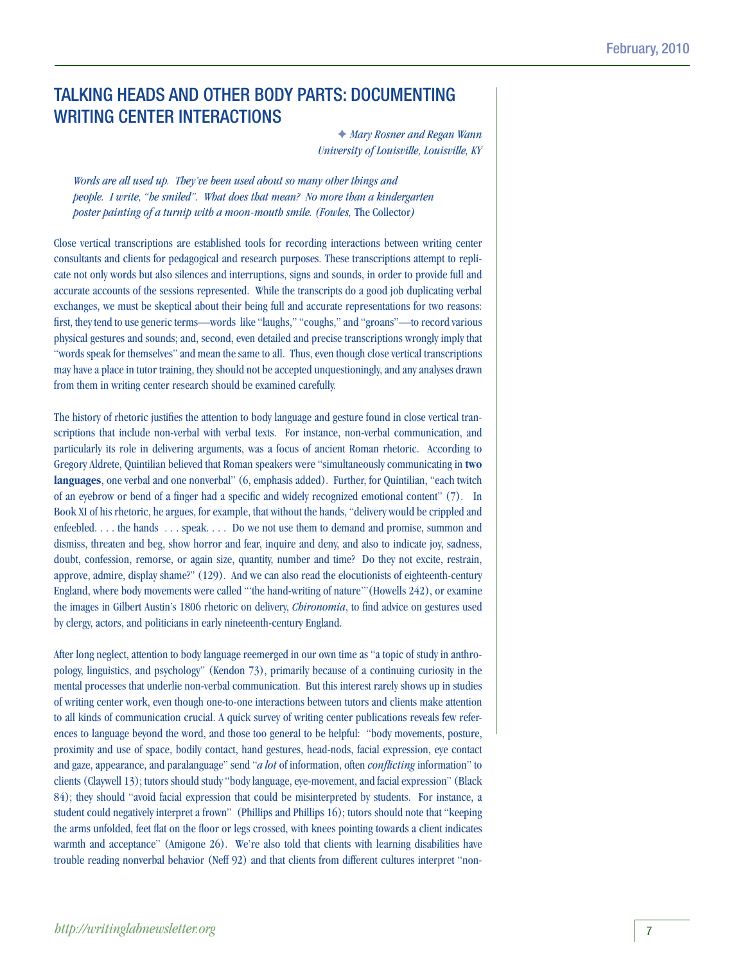### Talking Heads and Other Body Parts: Documenting WRITING CENTER INTERACTIONS

F *Mary Rosner and Regan Wann University of Louisville, Louisville, KY*

*Words are all used up. They've been used about so many other things and people. I write, "he smiled". What does that mean? No more than a kindergarten poster painting of a turnip with a moon-mouth smile. (Fowles,* The Collector*)*

Close vertical transcriptions are established tools for recording interactions between writing center consultants and clients for pedagogical and research purposes. These transcriptions attempt to replicate not only words but also silences and interruptions, signs and sounds, in order to provide full and accurate accounts of the sessions represented. While the transcripts do a good job duplicating verbal exchanges, we must be skeptical about their being full and accurate representations for two reasons: first, they tend to use generic terms—words like "laughs," "coughs," and "groans"—to record various physical gestures and sounds; and, second, even detailed and precise transcriptions wrongly imply that "words speak for themselves" and mean the same to all. Thus, even though close vertical transcriptions may have a place in tutor training, they should not be accepted unquestioningly, and any analyses drawn from them in writing center research should be examined carefully.

The history of rhetoric justifies the attention to body language and gesture found in close vertical transcriptions that include non-verbal with verbal texts. For instance, non-verbal communication, and particularly its role in delivering arguments, was a focus of ancient Roman rhetoric. According to Gregory Aldrete, Quintilian believed that Roman speakers were "simultaneously communicating in **two languages**, one verbal and one nonverbal" (6, emphasis added). Further, for Quintilian, "each twitch of an eyebrow or bend of a finger had a specific and widely recognized emotional content" (7). In Book XI of his rhetoric, he argues, for example, that without the hands, "delivery would be crippled and enfeebled. . . . the hands . . . speak. . . . Do we not use them to demand and promise, summon and dismiss, threaten and beg, show horror and fear, inquire and deny, and also to indicate joy, sadness, doubt, confession, remorse, or again size, quantity, number and time? Do they not excite, restrain, approve, admire, display shame?" (129). And we can also read the elocutionists of eighteenth-century England, where body movements were called "'the hand-writing of nature'"(Howells 242), or examine the images in Gilbert Austin's 1806 rhetoric on delivery, *Chironomia*, to find advice on gestures used by clergy, actors, and politicians in early nineteenth-century England.

After long neglect, attention to body language reemerged in our own time as "a topic of study in anthropology, linguistics, and psychology" (Kendon 73), primarily because of a continuing curiosity in the mental processes that underlie non-verbal communication. But this interest rarely shows up in studies of writing center work, even though one-to-one interactions between tutors and clients make attention to all kinds of communication crucial. A quick survey of writing center publications reveals few references to language beyond the word, and those too general to be helpful: "body movements, posture, proximity and use of space, bodily contact, hand gestures, head-nods, facial expression, eye contact and gaze, appearance, and paralanguage" send "*a lot* of information, often *conflicting* information" to clients (Claywell 13); tutors should study "body language, eye-movement, and facial expression" (Black 84); they should "avoid facial expression that could be misinterpreted by students. For instance, a student could negatively interpret a frown" (Phillips and Phillips 16); tutors should note that "keeping the arms unfolded, feet flat on the floor or legs crossed, with knees pointing towards a client indicates warmth and acceptance" (Amigone 26). We're also told that clients with learning disabilities have trouble reading nonverbal behavior (Neff 92) and that clients from different cultures interpret "non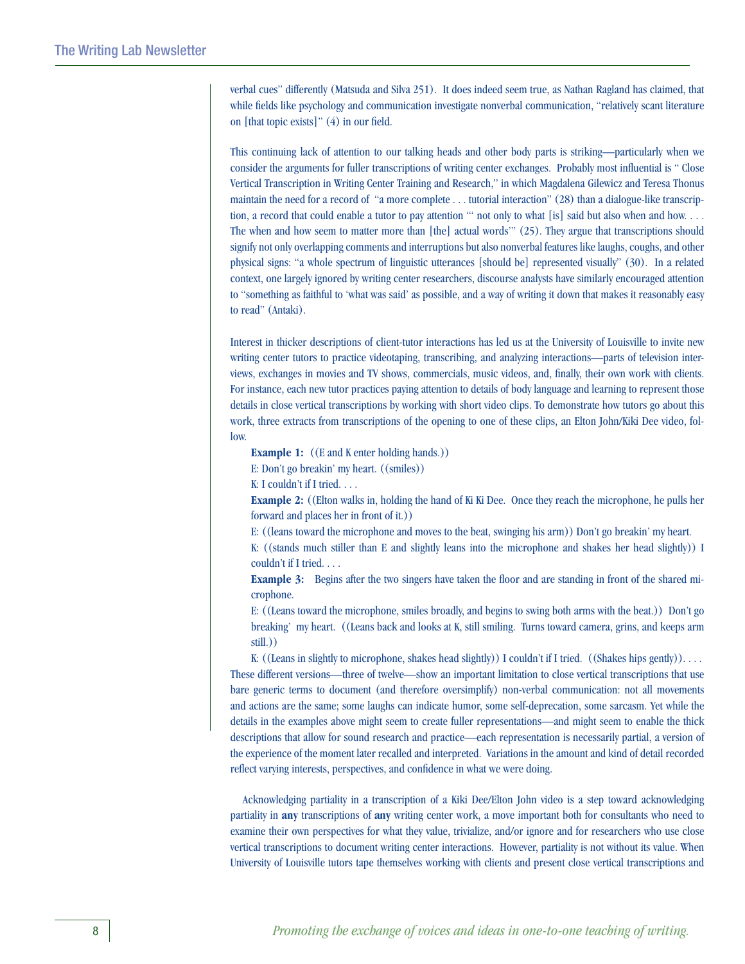verbal cues" differently (Matsuda and Silva 251). It does indeed seem true, as Nathan Ragland has claimed, that while fields like psychology and communication investigate nonverbal communication, "relatively scant literature on [that topic exists]" (4) in our field.

This continuing lack of attention to our talking heads and other body parts is striking—particularly when we consider the arguments for fuller transcriptions of writing center exchanges. Probably most influential is " Close Vertical Transcription in Writing Center Training and Research," in which Magdalena Gilewicz and Teresa Thonus maintain the need for a record of "a more complete . . . tutorial interaction" (28) than a dialogue-like transcription, a record that could enable a tutor to pay attention "' not only to what [is] said but also when and how. . . . The when and how seem to matter more than [the] actual words'" (25). They argue that transcriptions should signify not only overlapping comments and interruptions but also nonverbal features like laughs, coughs, and other physical signs: "a whole spectrum of linguistic utterances [should be] represented visually" (30). In a related context, one largely ignored by writing center researchers, discourse analysts have similarly encouraged attention to "something as faithful to 'what was said' as possible, and a way of writing it down that makes it reasonably easy to read" (Antaki).

Interest in thicker descriptions of client-tutor interactions has led us at the University of Louisville to invite new writing center tutors to practice videotaping, transcribing, and analyzing interactions—parts of television interviews, exchanges in movies and TV shows, commercials, music videos, and, finally, their own work with clients. For instance, each new tutor practices paying attention to details of body language and learning to represent those details in close vertical transcriptions by working with short video clips. To demonstrate how tutors go about this work, three extracts from transcriptions of the opening to one of these clips, an Elton John/Kiki Dee video, follow.

**Example 1:** ((E and K enter holding hands.))

E: Don't go breakin' my heart. ((smiles))

K: I couldn't if I tried. . . .

**Example 2:** ((Elton walks in, holding the hand of Ki Ki Dee. Once they reach the microphone, he pulls her forward and places her in front of it.))

E: ((leans toward the microphone and moves to the beat, swinging his arm)) Don't go breakin' my heart.

K: ((stands much stiller than E and slightly leans into the microphone and shakes her head slightly)) I couldn't if I tried. . . .

**Example 3:** Begins after the two singers have taken the floor and are standing in front of the shared microphone.

E: ((Leans toward the microphone, smiles broadly, and begins to swing both arms with the beat.)) Don't go breaking' my heart. ((Leans back and looks at K, still smiling. Turns toward camera, grins, and keeps arm still.))

K: ((Leans in slightly to microphone, shakes head slightly)) I couldn't if I tried. ((Shakes hips gently)).  $\dots$ These different versions—three of twelve—show an important limitation to close vertical transcriptions that use bare generic terms to document (and therefore oversimplify) non-verbal communication: not all movements and actions are the same; some laughs can indicate humor, some self-deprecation, some sarcasm. Yet while the details in the examples above might seem to create fuller representations—and might seem to enable the thick descriptions that allow for sound research and practice—each representation is necessarily partial, a version of the experience of the moment later recalled and interpreted. Variations in the amount and kind of detail recorded reflect varying interests, perspectives, and confidence in what we were doing.

 Acknowledging partiality in a transcription of a Kiki Dee/Elton John video is a step toward acknowledging partiality in **any** transcriptions of **any** writing center work, a move important both for consultants who need to examine their own perspectives for what they value, trivialize, and/or ignore and for researchers who use close vertical transcriptions to document writing center interactions. However, partiality is not without its value. When University of Louisville tutors tape themselves working with clients and present close vertical transcriptions and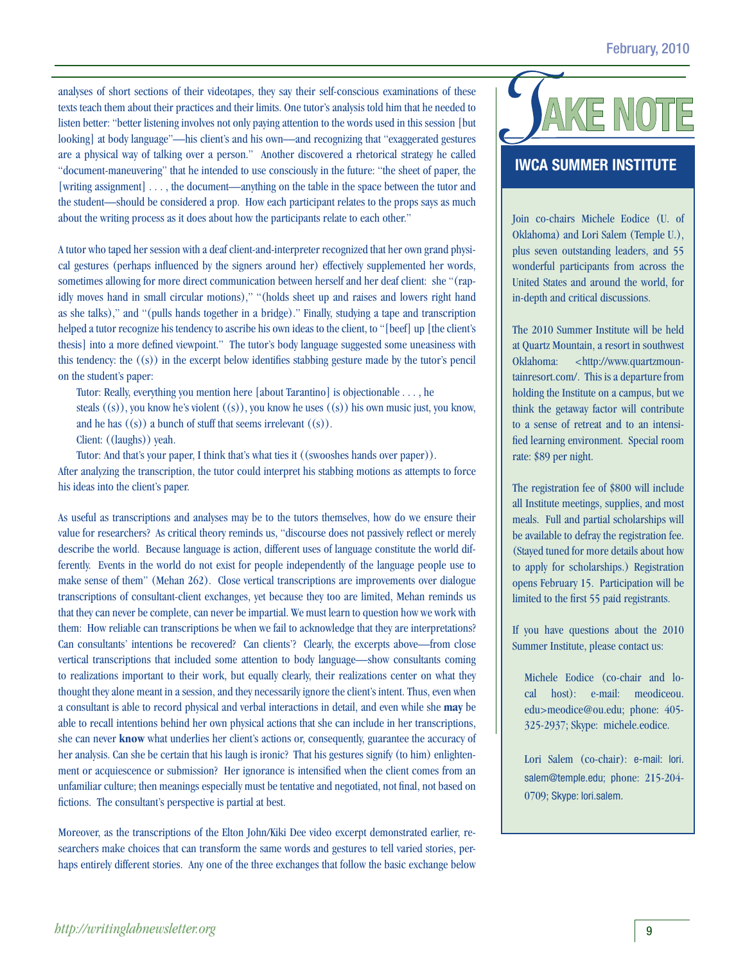analyses of short sections of their videotapes, they say their self-conscious examinations of these texts teach them about their practices and their limits. One tutor's analysis told him that he needed to listen better: "better listening involves not only paying attention to the words used in this session [but looking] at body language"—his client's and his own—and recognizing that "exaggerated gestures are a physical way of talking over a person." Another discovered a rhetorical strategy he called "document-maneuvering" that he intended to use consciously in the future: "the sheet of paper, the [writing assignment] . . . , the document—anything on the table in the space between the tutor and the student—should be considered a prop. How each participant relates to the props says as much about the writing process as it does about how the participants relate to each other."

A tutor who taped her session with a deaf client-and-interpreter recognized that her own grand physical gestures (perhaps influenced by the signers around her) effectively supplemented her words, sometimes allowing for more direct communication between herself and her deaf client: she "(rapidly moves hand in small circular motions)," "(holds sheet up and raises and lowers right hand as she talks)," and "(pulls hands together in a bridge)." Finally, studying a tape and transcription helped a tutor recognize his tendency to ascribe his own ideas to the client, to "[beef] up [the client's thesis] into a more defined viewpoint." The tutor's body language suggested some uneasiness with this tendency: the ((s)) in the excerpt below identifies stabbing gesture made by the tutor's pencil on the student's paper:

Tutor: Really, everything you mention here [about Tarantino] is objectionable . . . , he

steals ((s)), you know he's violent ((s)), you know he uses ((s)) his own music just, you know, and he has  $((s))$  a bunch of stuff that seems irrelevant  $((s))$ .

Client: ((laughs)) yeah.

Tutor: And that's your paper, I think that's what ties it ((swooshes hands over paper)).

After analyzing the transcription, the tutor could interpret his stabbing motions as attempts to force his ideas into the client's paper.

As useful as transcriptions and analyses may be to the tutors themselves, how do we ensure their value for researchers? As critical theory reminds us, "discourse does not passively reflect or merely describe the world. Because language is action, different uses of language constitute the world differently. Events in the world do not exist for people independently of the language people use to make sense of them" (Mehan 262). Close vertical transcriptions are improvements over dialogue transcriptions of consultant-client exchanges, yet because they too are limited, Mehan reminds us that they can never be complete, can never be impartial. We must learn to question how we work with them: How reliable can transcriptions be when we fail to acknowledge that they are interpretations? Can consultants' intentions be recovered? Can clients'? Clearly, the excerpts above—from close vertical transcriptions that included some attention to body language—show consultants coming to realizations important to their work, but equally clearly, their realizations center on what they thought they alone meant in a session, and they necessarily ignore the client's intent. Thus, even when a consultant is able to record physical and verbal interactions in detail, and even while she **may** be able to recall intentions behind her own physical actions that she can include in her transcriptions, she can never **know** what underlies her client's actions or, consequently, guarantee the accuracy of her analysis. Can she be certain that his laugh is ironic? That his gestures signify (to him) enlightenment or acquiescence or submission? Her ignorance is intensified when the client comes from an unfamiliar culture; then meanings especially must be tentative and negotiated, not final, not based on fictions. The consultant's perspective is partial at best.

Moreover, as the transcriptions of the Elton John/Kiki Dee video excerpt demonstrated earlier, researchers make choices that can transform the same words and gestures to tell varied stories, perhaps entirely different stories. Any one of the three exchanges that follow the basic exchange below

### **IWCA Summer Institute**

Join co-chairs Michele Eodice (U. of Oklahoma) and Lori Salem (Temple U.), plus seven outstanding leaders, and 55 wonderful participants from across the United States and around the world, for in-depth and critical discussions.

The 2010 Summer Institute will be held at Quartz Mountain, a resort in southwest Oklahoma: <http://www.quartzmountainresort.com/. This is a departure from holding the Institute on a campus, but we think the getaway factor will contribute to a sense of retreat and to an intensified learning environment. Special room rate: \$89 per night.

The registration fee of \$800 will include all Institute meetings, supplies, and most meals. Full and partial scholarships will be available to defray the registration fee. (Stayed tuned for more details about how to apply for scholarships.) Registration opens February 15. Participation will be limited to the first 55 paid registrants.

If you have questions about the 2010 Summer Institute, please contact us:

Michele Eodice (co-chair and local host): e-mail: meodiceou. edu>meodice@ou.edu; phone: 405- 325-2937; Skype: michele.eodice.

Lori Salem (co-chair): e-mail: lori. salem@temple.edu; phone: 215-204- 0709; Skype: lori.salem.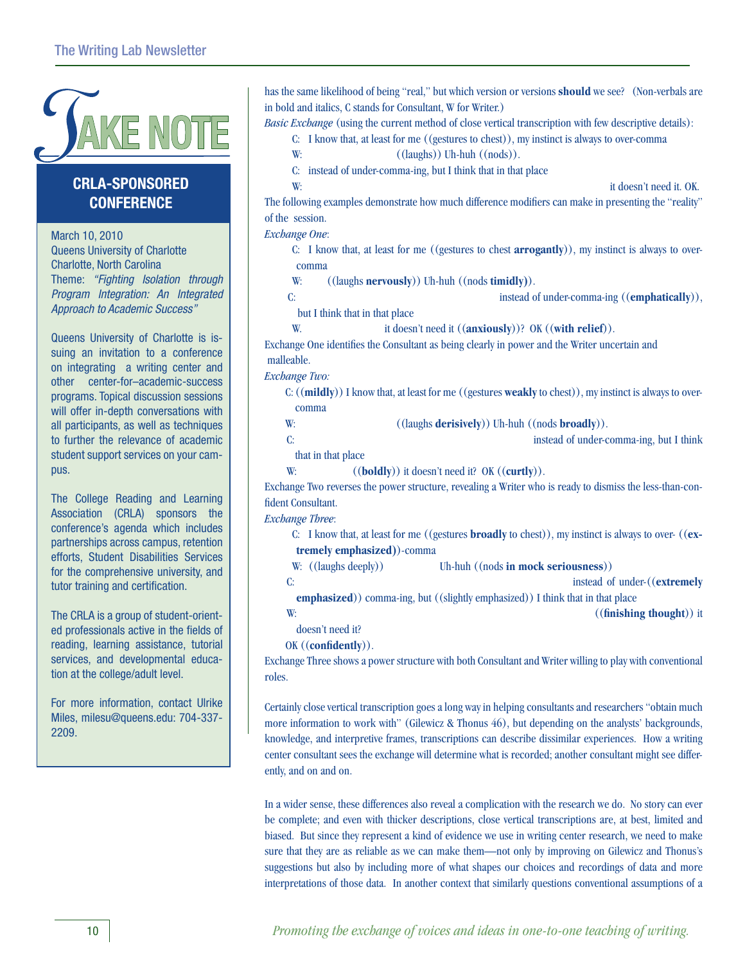

### **CRlA-sponsored Conference**

March 10, 2010 Queens University of Charlotte Charlotte, North Carolina Theme: *"Fighting Isolation through Program Integration: An Integrated Approach to Academic Success"*

Queens University of Charlotte is issuing an invitation to a conference on integrating a writing center and other center-for–academic-success programs. Topical discussion sessions will offer in-depth conversations with all participants, as well as techniques to further the relevance of academic student support services on your campus.

The College Reading and Learning Association (CRLA) sponsors the conference's agenda which includes partnerships across campus, retention efforts, Student Disabilities Services for the comprehensive university, and tutor training and certification.

The CRLA is a group of student-oriented professionals active in the fields of reading, learning assistance, tutorial services, and developmental education at the college/adult level.

For more information, contact Ulrike Miles, milesu@queens.edu: 704-337- 2209.

has the same likelihood of being "real," but which version or versions **should** we see? (Non-verbals are in bold and italics, C stands for Consultant, W for Writer.) *Basic Exchange* (using the current method of close vertical transcription with few descriptive details): C: I know that, at least for me ((gestures to chest)), my instinct is always to over-comma W:  $((\text{lands})) \text{Uh-huh } ((\text{nodes}))$ . C: instead of under-comma-ing, but I think that in that place W: it doesn't need it. OK. The following examples demonstrate how much difference modifiers can make in presenting the "reality" of the session. *Exchange One*: C: I know that, at least for me ((gestures to chest **arrogantly**)), my instinct is always to overcomma W: ((laughs **nervously**)) Uh-huh ((nods **timidly)**). C: instead of under-comma-ing ((**emphatically**)), but I think that in that place W. it doesn't need it ((**anxiously**))? OK ((**with relief**)). Exchange One identifies the Consultant as being clearly in power and the Writer uncertain and malleable. *Exchange Two:* C:((**mildly**)) I know that, at least for me ((gestures **weakly** to chest)), my instinct is always to overcomma W: ((laughs **derisively**)) Uh-huh ((nods **broadly**)). C: contract the community of the instead of under-commu-ing, but I think that in that place W: ((**boldly**)) it doesn't need it? OK ((**curtly**)). Exchange Two reverses the power structure, revealing a Writer who is ready to dismiss the less-than-confident Consultant. *Exchange Three*: C: I know that, at least for me ((gestures **broadly** to chest)), my instinct is always to over- ((**extremely emphasized)**)-comma W: ((laughs deeply)) Uh-huh ((nods **in mock seriousness**)) C: instead of under-((**extremely emphasized**)) comma-ing, but ((slightly emphasized)) I think that in that place W: ((**finishing thought**)) it doesn't need it? OK ((**confidently**)).

Exchange Three shows a power structure with both Consultant and Writer willing to play with conventional roles.

Certainly close vertical transcription goes a long way in helping consultants and researchers "obtain much more information to work with" (Gilewicz & Thonus 46), but depending on the analysts' backgrounds, knowledge, and interpretive frames, transcriptions can describe dissimilar experiences. How a writing center consultant sees the exchange will determine what is recorded; another consultant might see differently, and on and on.

In a wider sense, these differences also reveal a complication with the research we do. No story can ever be complete; and even with thicker descriptions, close vertical transcriptions are, at best, limited and biased. But since they represent a kind of evidence we use in writing center research, we need to make sure that they are as reliable as we can make them—not only by improving on Gilewicz and Thonus's suggestions but also by including more of what shapes our choices and recordings of data and more interpretations of those data. In another context that similarly questions conventional assumptions of a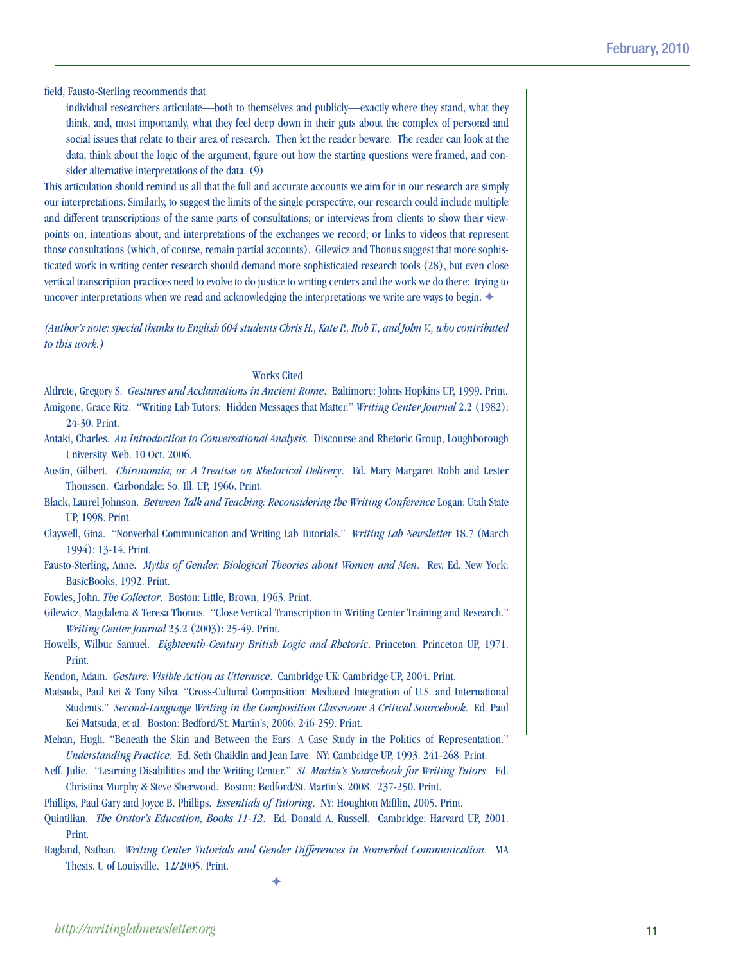field, Fausto-Sterling recommends that

individual researchers articulate—both to themselves and publicly—exactly where they stand, what they think, and, most importantly, what they feel deep down in their guts about the complex of personal and social issues that relate to their area of research. Then let the reader beware. The reader can look at the data, think about the logic of the argument, figure out how the starting questions were framed, and consider alternative interpretations of the data. (9)

This articulation should remind us all that the full and accurate accounts we aim for in our research are simply our interpretations. Similarly, to suggest the limits of the single perspective, our research could include multiple and different transcriptions of the same parts of consultations; or interviews from clients to show their viewpoints on, intentions about, and interpretations of the exchanges we record; or links to videos that represent those consultations (which, of course, remain partial accounts). Gilewicz and Thonus suggest that more sophisticated work in writing center research should demand more sophisticated research tools (28), but even close vertical transcription practices need to evolve to do justice to writing centers and the work we do there: trying to uncover interpretations when we read and acknowledging the interpretations we write are ways to begin.  $\blacklozenge$ 

*(Author's note: special thanks to English 604 students Chris H., Kate P., Rob T., and John V., who contributed to this work.)*

### Works Cited

- Aldrete, Gregory S. *Gestures and Acclamations in Ancient Rome*. Baltimore: Johns Hopkins UP, 1999. Print. Amigone, Grace Ritz. "Writing Lab Tutors: Hidden Messages that Matter." *Writing Center Journal* 2.2 (1982): 24-30. Print.
- Antaki, Charles. *An Introduction to Conversational Analysis.* Discourse and Rhetoric Group, Loughborough University. Web. 10 Oct. 2006.
- Austin, Gilbert. *Chironomia; or, A Treatise on Rhetorical Delivery*. Ed. Mary Margaret Robb and Lester Thonssen. Carbondale: So. Ill. UP, 1966. Print.
- Black, Laurel Johnson. *Between Talk and Teaching: Reconsidering the Writing Conference* Logan: Utah State UP, 1998. Print.
- Claywell, Gina. "Nonverbal Communication and Writing Lab Tutorials." *Writing Lab Newsletter* 18.7 (March 1994): 13-14. Print.
- Fausto-Sterling, Anne. *Myths of Gender: Biological Theories about Women and Men*. Rev. Ed. New York: BasicBooks, 1992. Print.
- Fowles, John. *The Collector*. Boston: Little, Brown, 1963. Print.
- Gilewicz, Magdalena & Teresa Thonus. "Close Vertical Transcription in Writing Center Training and Research." *Writing Center Journal* 23.2 (2003): 25-49. Print.
- Howells, Wilbur Samuel. *Eighteenth-Century British Logic and Rhetoric*. Princeton: Princeton UP, 1971. Print.

Kendon, Adam. *Gesture: Visible Action as Utterance*. Cambridge UK: Cambridge UP, 2004. Print.

- Matsuda, Paul Kei & Tony Silva. "Cross-Cultural Composition: Mediated Integration of U.S. and International Students." *Second-Language Writing in the Composition Classroom: A Critical Sourcebook*. Ed. Paul Kei Matsuda, et al. Boston: Bedford/St. Martin's, 2006. 246-259. Print.
- Mehan, Hugh. "Beneath the Skin and Between the Ears: A Case Study in the Politics of Representation." *Understanding Practice*. Ed. Seth Chaiklin and Jean Lave. NY: Cambridge UP, 1993. 241-268. Print.
- Neff, Julie. "Learning Disabilities and the Writing Center." *St. Martin's Sourcebook for Writing Tutors*. Ed. Christina Murphy & Steve Sherwood. Boston: Bedford/St. Martin's, 2008. 237-250. Print.
- Phillips, Paul Gary and Joyce B. Phillips. *Essentials of Tutoring*. NY: Houghton Mifflin, 2005. Print.
- Quintilian. *The Orator's Education, Books 11-12*. Ed. Donald A. Russell. Cambridge: Harvard UP, 2001. Print.
- Ragland, Nathan*. Writing Center Tutorials and Gender Differences in Nonverbal Communication*. MA Thesis. U of Louisville. 12/2005. Print.

 $\blacklozenge$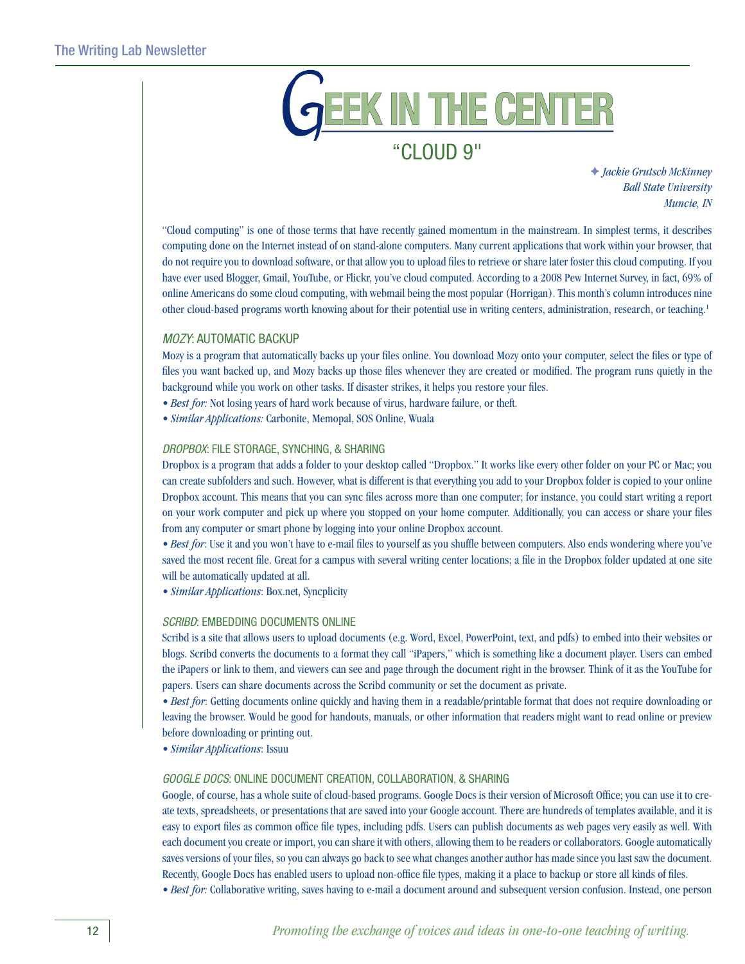### EEK IN THE CENTER "Cloud 9"

### F *Jackie Grutsch McKinney Ball State University Muncie, IN*

"Cloud computing" is one of those terms that have recently gained momentum in the mainstream. In simplest terms, it describes computing done on the Internet instead of on stand-alone computers. Many current applications that work within your browser, that do not require you to download software, or that allow you to upload files to retrieve or share later foster this cloud computing. If you have ever used Blogger, Gmail, YouTube, or Flickr, you've cloud computed. According to a 2008 Pew Internet Survey, in fact, 69% of online Americans do some cloud computing, with webmail being the most popular (Horrigan). This month's column introduces nine other cloud-based programs worth knowing about for their potential use in writing centers, administration, research, or teaching.1

### *Mozy*: Automatic Backup

Mozy is a program that automatically backs up your files online. You download Mozy onto your computer, select the files or type of files you want backed up, and Mozy backs up those files whenever they are created or modified. The program runs quietly in the background while you work on other tasks. If disaster strikes, it helps you restore your files.

- *Best for:* Not losing years of hard work because of virus, hardware failure, or theft.
- *Similar Applications:* Carbonite, Memopal, SOS Online, Wuala

### *Dropbox*: File Storage, Synching, & Sharing

Dropbox is a program that adds a folder to your desktop called "Dropbox." It works like every other folder on your PC or Mac; you can create subfolders and such. However, what is different is that everything you add to your Dropbox folder is copied to your online Dropbox account. This means that you can sync files across more than one computer; for instance, you could start writing a report on your work computer and pick up where you stopped on your home computer. Additionally, you can access or share your files from any computer or smart phone by logging into your online Dropbox account.

*• Best for*: Use it and you won't have to e-mail files to yourself as you shuffle between computers. Also ends wondering where you've saved the most recent file. Great for a campus with several writing center locations; a file in the Dropbox folder updated at one site will be automatically updated at all.

*• Similar Applications*: Box.net, Syncplicity

### **SCRIBD: EMBEDDING DOCUMENTS ONLINE**

Scribd is a site that allows users to upload documents (e.g. Word, Excel, PowerPoint, text, and pdfs) to embed into their websites or blogs. Scribd converts the documents to a format they call "iPapers," which is something like a document player. Users can embed the iPapers or link to them, and viewers can see and page through the document right in the browser. Think of it as the YouTube for papers. Users can share documents across the Scribd community or set the document as private.

• Best for: Getting documents online quickly and having them in a readable/printable format that does not require downloading or leaving the browser. Would be good for handouts, manuals, or other information that readers might want to read online or preview before downloading or printing out.

*• Similar Applications*: Issuu

### *Google Docs*: Online Document Creation, Collaboration, & Sharing

Google, of course, has a whole suite of cloud-based programs. Google Docs is their version of Microsoft Office; you can use it to create texts, spreadsheets, or presentations that are saved into your Google account. There are hundreds of templates available, and it is easy to export files as common office file types, including pdfs. Users can publish documents as web pages very easily as well. With each document you create or import, you can share it with others, allowing them to be readers or collaborators. Google automatically saves versions of your files, so you can always go back to see what changes another author has made since you last saw the document. Recently, Google Docs has enabled users to upload non-office file types, making it a place to backup or store all kinds of files.

*• Best for:* Collaborative writing, saves having to e-mail a document around and subsequent version confusion. Instead, one person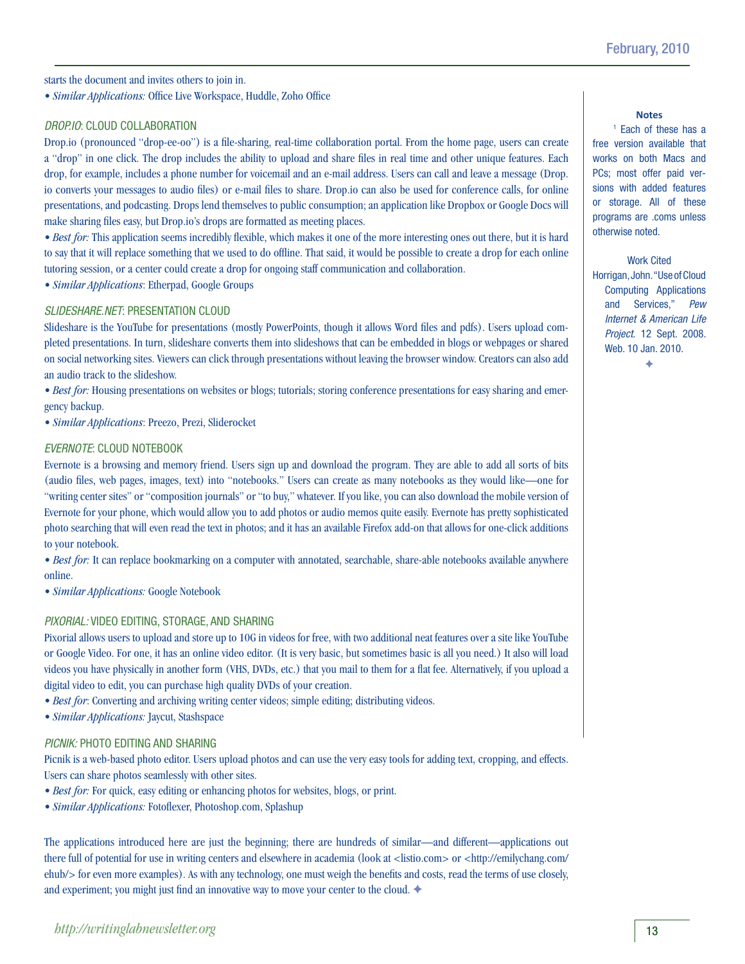starts the document and invites others to join in.

*• Similar Applications:* Office Live Workspace, Huddle, Zoho Office

### *Drop.io*: Cloud Collaboration

Drop.io (pronounced "drop-ee-oo") is a file-sharing, real-time collaboration portal. From the home page, users can create a "drop" in one click. The drop includes the ability to upload and share files in real time and other unique features. Each drop, for example, includes a phone number for voicemail and an e-mail address. Users can call and leave a message (Drop. io converts your messages to audio files) or e-mail files to share. Drop.io can also be used for conference calls, for online presentations, and podcasting. Drops lend themselves to public consumption; an application like Dropbox or Google Docs will make sharing files easy, but Drop.io's drops are formatted as meeting places.

*• Best for:* This application seems incredibly flexible, which makes it one of the more interesting ones out there, but it is hard to say that it will replace something that we used to do offline. That said, it would be possible to create a drop for each online tutoring session, or a center could create a drop for ongoing staff communication and collaboration.

*• Similar Applications*: Etherpad, Google Groups

### *Slideshare*.*net*: Presentation Cloud

Slideshare is the YouTube for presentations (mostly PowerPoints, though it allows Word files and pdfs). Users upload completed presentations. In turn, slideshare converts them into slideshows that can be embedded in blogs or webpages or shared on social networking sites. Viewers can click through presentations without leaving the browser window. Creators can also add an audio track to the slideshow.

*• Best for:* Housing presentations on websites or blogs; tutorials; storing conference presentations for easy sharing and emergency backup.

*• Similar Applications*: Preezo, Prezi, Sliderocket

### *Evernote*: Cloud Notebook

Evernote is a browsing and memory friend. Users sign up and download the program. They are able to add all sorts of bits (audio files, web pages, images, text) into "notebooks." Users can create as many notebooks as they would like—one for "writing center sites" or "composition journals" or "to buy," whatever. If you like, you can also download the mobile version of Evernote for your phone, which would allow you to add photos or audio memos quite easily. Evernote has pretty sophisticated photo searching that will even read the text in photos; and it has an available Firefox add-on that allows for one-click additions to your notebook.

• Best for: It can replace bookmarking on a computer with annotated, searchable, share-able notebooks available anywhere online.

*• Similar Applications:* Google Notebook

### *Pixorial:* Video editing, storage, and sharing

Pixorial allows users to upload and store up to 10G in videos for free, with two additional neat features over a site like YouTube or Google Video. For one, it has an online video editor. (It is very basic, but sometimes basic is all you need.) It also will load videos you have physically in another form (VHS, DVDs, etc.) that you mail to them for a flat fee. Alternatively, if you upload a digital video to edit, you can purchase high quality DVDs of your creation.

- *Best for*: Converting and archiving writing center videos; simple editing; distributing videos.
- *Similar Applications:* Jaycut, Stashspace

### *Picnik:* Photo editing and sharing

Picnik is a web-based photo editor. Users upload photos and can use the very easy tools for adding text, cropping, and effects. Users can share photos seamlessly with other sites.

- *Best for:* For quick, easy editing or enhancing photos for websites, blogs, or print.
- *Similar Applications:* Fotoflexer, Photoshop.com, Splashup

The applications introduced here are just the beginning; there are hundreds of similar—and different—applications out there full of potential for use in writing centers and elsewhere in academia (look at <listio.com> or <http://emilychang.com/ ehub/> for even more examples). As with any technology, one must weigh the benefits and costs, read the terms of use closely, and experiment; you might just find an innovative way to move your center to the cloud.

### **Notes**

1 Each of these has a free version available that works on both Macs and PCs; most offer paid versions with added features or storage. All of these programs are .coms unless otherwise noted.

Work Cited Horrigan, John. "Use of Cloud Computing Applications and Services," *Pew Internet & American Life Project.* 12 Sept. 2008. Web. 10 Jan. 2010.  $\ddot{\bullet}$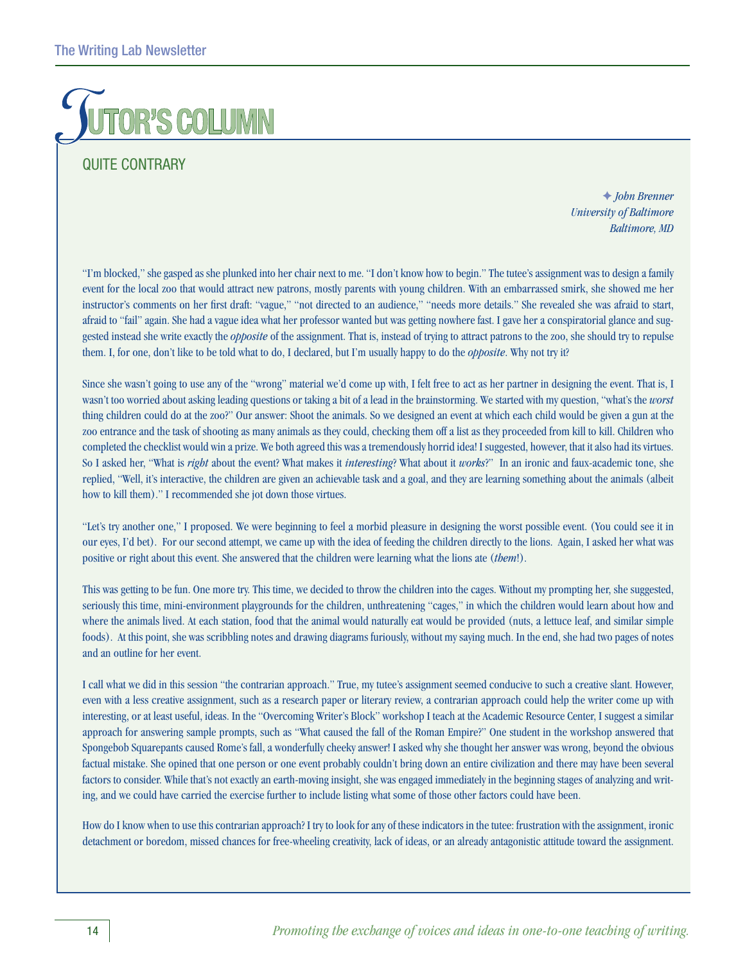## **R'S COLUMN**

### **QUITE CONTRARY**

F *John Brenner University of Baltimore Baltimore, MD* 

"I'm blocked," she gasped as she plunked into her chair next to me. "I don't know how to begin." The tutee's assignment was to design a family event for the local zoo that would attract new patrons, mostly parents with young children. With an embarrassed smirk, she showed me her instructor's comments on her first draft: "vague," "not directed to an audience," "needs more details." She revealed she was afraid to start, afraid to "fail" again. She had a vague idea what her professor wanted but was getting nowhere fast. I gave her a conspiratorial glance and suggested instead she write exactly the *opposite* of the assignment. That is, instead of trying to attract patrons to the zoo, she should try to repulse them. I, for one, don't like to be told what to do, I declared, but I'm usually happy to do the *opposite*. Why not try it?

Since she wasn't going to use any of the "wrong" material we'd come up with, I felt free to act as her partner in designing the event. That is, I wasn't too worried about asking leading questions or taking a bit of a lead in the brainstorming. We started with my question, "what's the *worst* thing children could do at the zoo?" Our answer: Shoot the animals. So we designed an event at which each child would be given a gun at the zoo entrance and the task of shooting as many animals as they could, checking them off a list as they proceeded from kill to kill. Children who completed the checklist would win a prize. We both agreed this was a tremendously horrid idea! I suggested, however, that it also had its virtues. So I asked her, "What is *right* about the event? What makes it *interesting*? What about it *works*?" In an ironic and faux-academic tone, she replied, "Well, it's interactive, the children are given an achievable task and a goal, and they are learning something about the animals (albeit how to kill them)." I recommended she jot down those virtues.

"Let's try another one," I proposed. We were beginning to feel a morbid pleasure in designing the worst possible event. (You could see it in our eyes, I'd bet). For our second attempt, we came up with the idea of feeding the children directly to the lions. Again, I asked her what was positive or right about this event. She answered that the children were learning what the lions ate (*them*!).

This was getting to be fun. One more try. This time, we decided to throw the children into the cages. Without my prompting her, she suggested, seriously this time, mini-environment playgrounds for the children, unthreatening "cages," in which the children would learn about how and where the animals lived. At each station, food that the animal would naturally eat would be provided (nuts, a lettuce leaf, and similar simple foods). At this point, she was scribbling notes and drawing diagrams furiously, without my saying much. In the end, she had two pages of notes and an outline for her event.

I call what we did in this session "the contrarian approach." True, my tutee's assignment seemed conducive to such a creative slant. However, even with a less creative assignment, such as a research paper or literary review, a contrarian approach could help the writer come up with interesting, or at least useful, ideas. In the "Overcoming Writer's Block" workshop I teach at the Academic Resource Center, I suggest a similar approach for answering sample prompts, such as "What caused the fall of the Roman Empire?" One student in the workshop answered that Spongebob Squarepants caused Rome's fall, a wonderfully cheeky answer! I asked why she thought her answer was wrong, beyond the obvious factual mistake. She opined that one person or one event probably couldn't bring down an entire civilization and there may have been several factors to consider. While that's not exactly an earth-moving insight, she was engaged immediately in the beginning stages of analyzing and writing, and we could have carried the exercise further to include listing what some of those other factors could have been.

How do I know when to use this contrarian approach? I try to look for any of these indicators in the tutee: frustration with the assignment, ironic detachment or boredom, missed chances for free-wheeling creativity, lack of ideas, or an already antagonistic attitude toward the assignment.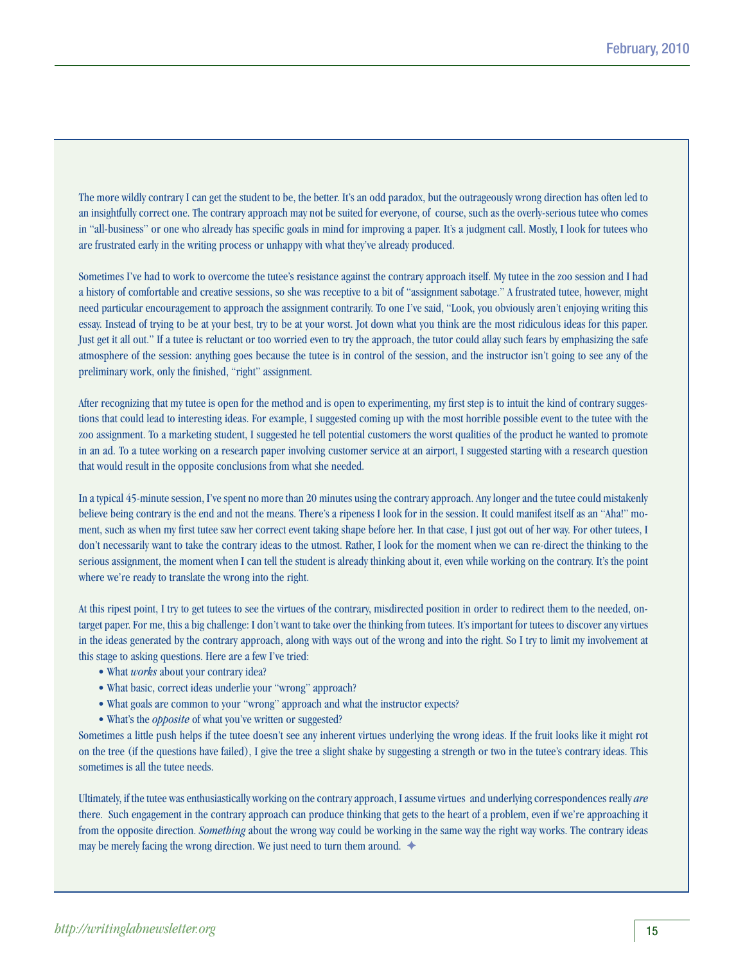The more wildly contrary I can get the student to be, the better. It's an odd paradox, but the outrageously wrong direction has often led to an insightfully correct one. The contrary approach may not be suited for everyone, of course, such as the overly-serious tutee who comes in "all-business" or one who already has specific goals in mind for improving a paper. It's a judgment call. Mostly, I look for tutees who are frustrated early in the writing process or unhappy with what they've already produced.

Sometimes I've had to work to overcome the tutee's resistance against the contrary approach itself. My tutee in the zoo session and I had a history of comfortable and creative sessions, so she was receptive to a bit of "assignment sabotage." A frustrated tutee, however, might need particular encouragement to approach the assignment contrarily. To one I've said, "Look, you obviously aren't enjoying writing this essay. Instead of trying to be at your best, try to be at your worst. Jot down what you think are the most ridiculous ideas for this paper. Just get it all out." If a tutee is reluctant or too worried even to try the approach, the tutor could allay such fears by emphasizing the safe atmosphere of the session: anything goes because the tutee is in control of the session, and the instructor isn't going to see any of the preliminary work, only the finished, "right" assignment.

After recognizing that my tutee is open for the method and is open to experimenting, my first step is to intuit the kind of contrary suggestions that could lead to interesting ideas. For example, I suggested coming up with the most horrible possible event to the tutee with the zoo assignment. To a marketing student, I suggested he tell potential customers the worst qualities of the product he wanted to promote in an ad. To a tutee working on a research paper involving customer service at an airport, I suggested starting with a research question that would result in the opposite conclusions from what she needed.

In a typical 45-minute session, I've spent no more than 20 minutes using the contrary approach. Any longer and the tutee could mistakenly believe being contrary is the end and not the means. There's a ripeness I look for in the session. It could manifest itself as an "Aha!" moment, such as when my first tutee saw her correct event taking shape before her. In that case, I just got out of her way. For other tutees, I don't necessarily want to take the contrary ideas to the utmost. Rather, I look for the moment when we can re-direct the thinking to the serious assignment, the moment when I can tell the student is already thinking about it, even while working on the contrary. It's the point where we're ready to translate the wrong into the right.

At this ripest point, I try to get tutees to see the virtues of the contrary, misdirected position in order to redirect them to the needed, ontarget paper. For me, this a big challenge: I don't want to take over the thinking from tutees. It's important for tutees to discover any virtues in the ideas generated by the contrary approach, along with ways out of the wrong and into the right. So I try to limit my involvement at this stage to asking questions. Here are a few I've tried:

- What *works* about your contrary idea?
- What basic, correct ideas underlie your "wrong" approach?
- What goals are common to your "wrong" approach and what the instructor expects?
- What's the *opposite* of what you've written or suggested?

Sometimes a little push helps if the tutee doesn't see any inherent virtues underlying the wrong ideas. If the fruit looks like it might rot on the tree (if the questions have failed), I give the tree a slight shake by suggesting a strength or two in the tutee's contrary ideas. This sometimes is all the tutee needs.

Ultimately, if the tutee was enthusiastically working on the contrary approach, I assume virtues and underlying correspondences really *are* there. Such engagement in the contrary approach can produce thinking that gets to the heart of a problem, even if we're approaching it from the opposite direction. *Something* about the wrong way could be working in the same way the right way works. The contrary ideas may be merely facing the wrong direction. We just need to turn them around.  $\triangleleft$